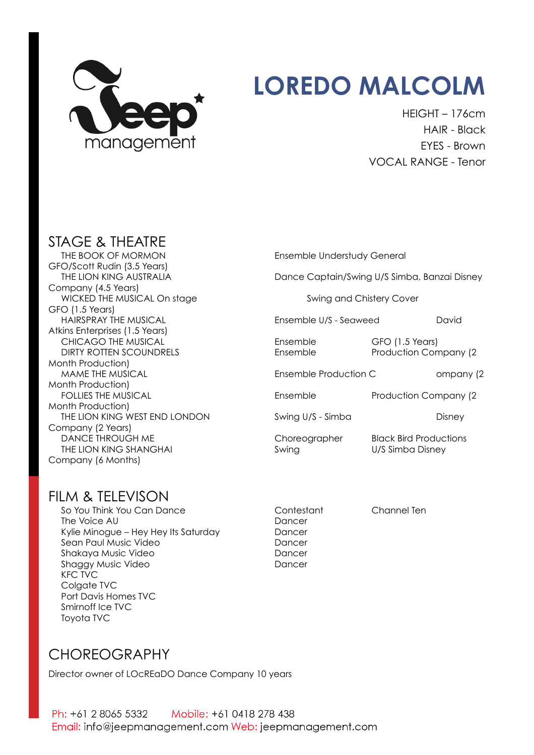

# **LOREDO MALCOLM**

HEIGHT – 176cm HAIR - Black EYES - Brown VOCAL RANGE - Tenor

## STAGE & THEATRE

THE BOOK OF MORMON Ensemble Understudy General GFO/Scott Rudin (3.5 Years) Company (4.5 Years) WICKED THE MUSICAL On stage Swing and Chistery Cover GFO (1.5 Years) HAIRSPRAY THE MUSICAL Ensemble U/S - Seaweed David Atkins Enterprises (1.5 Years) CHICAGO THE MUSICAL **Ensemble** GFO (1.5 Years) DIRTY ROTTEN SCOUNDRELS Ensemble Production Company (2 Month Production) MAME THE MUSICAL **Ensemble Production C** ompany (2 Month Production) FOLLIES THE MUSICAL **Ensemble** Ensemble Production Company (2 Month Production) THE LION KING WEST END LONDON Swing U/S - Simba Company (2 Years) DANCE THROUGH ME Choreographer Black Bird Productions THE LION KING SHANGHAI Swing Swing U/S Simba Disney Company (6 Months)

Dance Captain/Swing U/S Simba, Banzai Disney

### FILM & TELEVISON

So You Think You Can Dance Contestant Channel Ten The Voice AU Dancer Kylie Minogue – Hey Hey Its Saturday Dancer Sean Paul Music Video **Dancer** Dancer Shakaya Music Video **Dancer** Dancer Shaggy Music Video **Dancer** Dancer KFC TVC Colgate TVC Port Davis Homes TVC Smirnoff Ice TVC Toyota TVC

### CHOREOGRAPHY

Director owner of LOcREaDO Dance Company 10 years